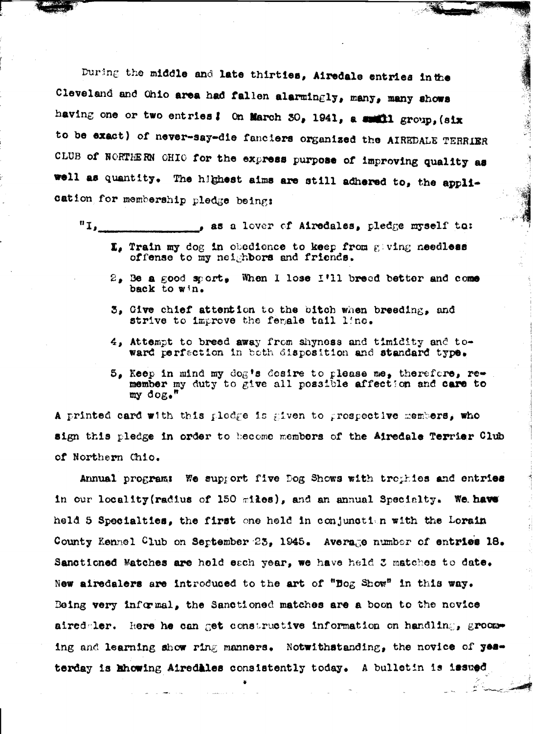During the middle and late thirties, Airedale entries in the Cleveland and Ohio area had fallen alarmingly, many, many shows having one or two entries! On March 30, 1941, a smith group, (six to be exact) of never-say-die fanciers organized the AIREDALE TERRIER CLUB of NORTHERN OHIO for the express purpose of improving quality as well as quantity. The highest aims are still adhered to, the application for membership pledge being:

 $"I_{\bullet_{\infty}}$ , as a lover of Airedales, pledge myself to:

- $\Sigma_s$  Train my dog in obedience to keep from giving needless offense to my neighbors and friends.
- 2, Be a good sport, When I lose I'll breed better and come back to win.
- 3, Give chief attention to the bitch when breeding, and strive to improve the fergale tail line.
- 4, Attempt to breed away from shyness and timidity and toward perfection in both disposition and standard type.
- 5. Keep in mind my dog's desire to please me, therefore, remember my duty to give all possible affection and care to  $my$  dog."

A printed card with this plodge is given to prospective members, who sign this pledge in order to become members of the Airedale Terrier Club of Northern Chio.

Annual program: We support five Dog Shows with trophies and entries in our locality (radius of 150 miles), and an annual Specialty. We have held 5 Specialtics, the first one held in conjunction with the Lorain County Kennel Club on September 23, 1945. Average number of entries 18. Sanctioned Matches are hold each year, we have held 3 matches to date. New airedalers are introduced to the art of "Bog Show" in this way. Being very informal, the Sanctioned matches are a boon to the novice aired ler. Here he can get constructive information on handling, grooming and learning show ring manners. Notwithstanding, the novice of yesterday is khowing Airedales consistently today. A bulletin is issued